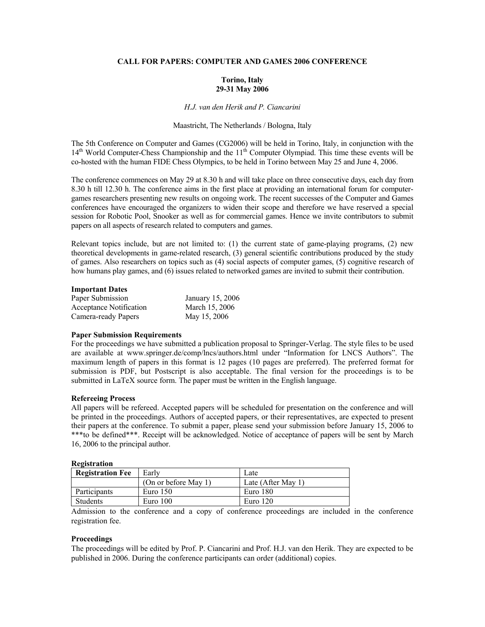# **CALL FOR PAPERS: COMPUTER AND GAMES 2006 CONFERENCE**

# **Torino, Italy 29-31 May 2006**

### *H.J. van den Herik and P. Ciancarini*

# Maastricht, The Netherlands / Bologna, Italy

The 5th Conference on Computer and Games (CG2006) will be held in Torino, Italy, in conjunction with the  $14<sup>th</sup>$  World Computer-Chess Championship and the  $11<sup>th</sup>$  Computer Olympiad. This time these events will be co-hosted with the human FIDE Chess Olympics, to be held in Torino between May 25 and June 4, 2006.

The conference commences on May 29 at 8.30 h and will take place on three consecutive days, each day from 8.30 h till 12.30 h. The conference aims in the first place at providing an international forum for computergames researchers presenting new results on ongoing work. The recent successes of the Computer and Games conferences have encouraged the organizers to widen their scope and therefore we have reserved a special session for Robotic Pool, Snooker as well as for commercial games. Hence we invite contributors to submit papers on all aspects of research related to computers and games.

Relevant topics include, but are not limited to: (1) the current state of game-playing programs, (2) new theoretical developments in game-related research, (3) general scientific contributions produced by the study of games. Also researchers on topics such as (4) social aspects of computer games, (5) cognitive research of how humans play games, and (6) issues related to networked games are invited to submit their contribution.

### **Important Dates**

| Paper Submission        | January 15, 2006 |
|-------------------------|------------------|
| Acceptance Notification | March 15, 2006   |
| Camera-ready Papers     | May 15, 2006     |

# **Paper Submission Requirements**

For the proceedings we have submitted a publication proposal to Springer-Verlag. The style files to be used are available at www.springer.de/comp/lncs/authors.html under "Information for LNCS Authors". The maximum length of papers in this format is 12 pages (10 pages are preferred). The preferred format for submission is PDF, but Postscript is also acceptable. The final version for the proceedings is to be submitted in LaTeX source form. The paper must be written in the English language.

### **Refereeing Process**

All papers will be refereed. Accepted papers will be scheduled for presentation on the conference and will be printed in the proceedings. Authors of accepted papers, or their representatives, are expected to present their papers at the conference. To submit a paper, please send your submission before January 15, 2006 to \*\*\*to be defined\*\*\*. Receipt will be acknowledged. Notice of acceptance of papers will be sent by March 16, 2006 to the principal author.

### **Registration**

| <b>Registration Fee</b> | Early                | Late               |
|-------------------------|----------------------|--------------------|
|                         | (On or before May 1) | Late (After May 1) |
| Participants            | Euro $150$           | Euro 180           |
| <b>Students</b>         | Euro $100$           | Euro $120$         |

Admission to the conference and a copy of conference proceedings are included in the conference registration fee.

#### **Proceedings**

The proceedings will be edited by Prof. P. Ciancarini and Prof. H.J. van den Herik. They are expected to be published in 2006. During the conference participants can order (additional) copies.